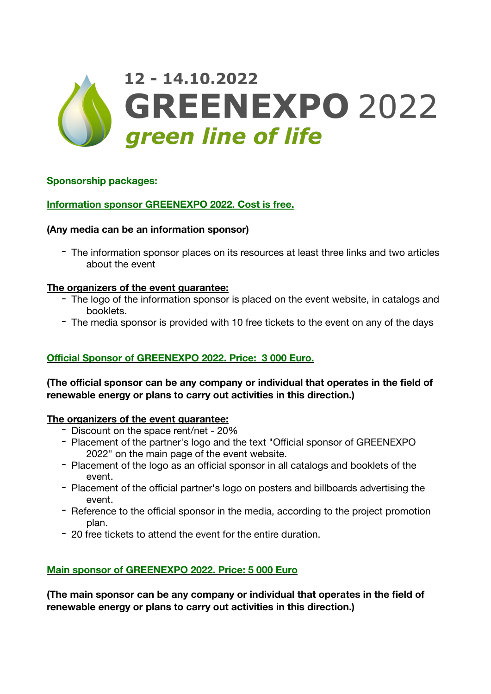# 12 - 14.10.2022 **GREENEXPO 2022** green line of life

## **Sponsorship packages:**

## **Information sponsor GREENEXPO 2022. Cost is free.**

### **(Any media can be an information sponsor)**

- The information sponsor places on its resources at least three links and two articles about the event

#### **The organizers of the event guarantee:**

- The logo of the information sponsor is placed on the event website, in catalogs and booklets.
- The media sponsor is provided with 10 free tickets to the event on any of the days

#### **Official Sponsor of GREENEXPO 2022. Price: 3 000 Euro.**

**(The official sponsor can be any company or individual that operates in the field of renewable energy or plans to carry out activities in this direction.)** 

#### **The organizers of the event guarantee:**

- Discount on the space rent/net 20%
- Placement of the partner's logo and the text "Official sponsor of GREENEXPO 2022" on the main page of the event website.
- Placement of the logo as an official sponsor in all catalogs and booklets of the event.
- Placement of the official partner's logo on posters and billboards advertising the event.
- Reference to the official sponsor in the media, according to the project promotion plan.
- 20 free tickets to attend the event for the entire duration.

#### **Main sponsor of GREENEXPO 2022. Price: 5 000 Euro**

**(The main sponsor can be any company or individual that operates in the field of renewable energy or plans to carry out activities in this direction.)**